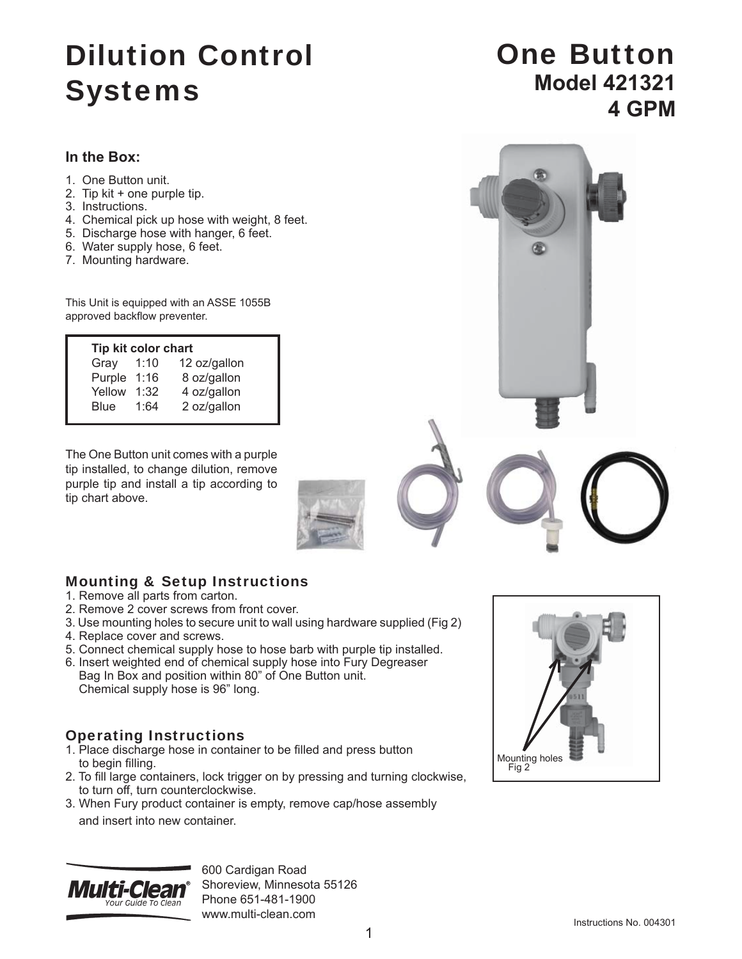# Dilution Control Systems

### **In the Box:**

- 1. One Button unit.
- 2. Tip kit + one purple tip.
- 3. Instructions.
- 4. Chemical pick up hose with weight, 8 feet.
- 5. Discharge hose with hanger, 6 feet.
- 6. Water supply hose, 6 feet.
- 7. Mounting hardware.

This Unit is equipped with an ASSE 1055B approved backflow preventer.

| Tip kit color chart |      |              |
|---------------------|------|--------------|
| Gray                | 1:10 | 12 oz/gallon |
| Purple              | 1:16 | 8 oz/gallon  |
| Yellow              | 1:32 | 4 oz/gallon  |
| <b>Blue</b>         | 1:64 | 2 oz/gallon  |
|                     |      |              |

The One Button unit comes with a purple tip installed, to change dilution, remove purple tip and install a tip according to tip chart above.

### One Button **Model 421321 4 GPM**



## Mounting & Setup Instructions

- 1. Remove all parts from carton.
- 2. Remove 2 cover screws from front cover.
- 3. Use mounting holes to secure unit to wall using hardware supplied (Fig 2)
- 4. Replace cover and screws.
- 5. Connect chemical supply hose to hose barb with purple tip installed.
- 6. Insert weighted end of chemical supply hose into Fury Degreaser Bag In Box and position within 80" of One Button unit. Chemical supply hose is 96" long.

### Operating Instructions

- 1. Place discharge hose in container to be filled and press button to begin filling.
- 2. To fill large containers, lock trigger on by pressing and turning clockwise, to turn off, turn counterclockwise.
- 3. When Fury product container is empty, remove cap/hose assembly and insert into new container.



600 Cardigan Road Shoreview, Minnesota 55126 Phone 651-481-1900 www.multi-clean.com